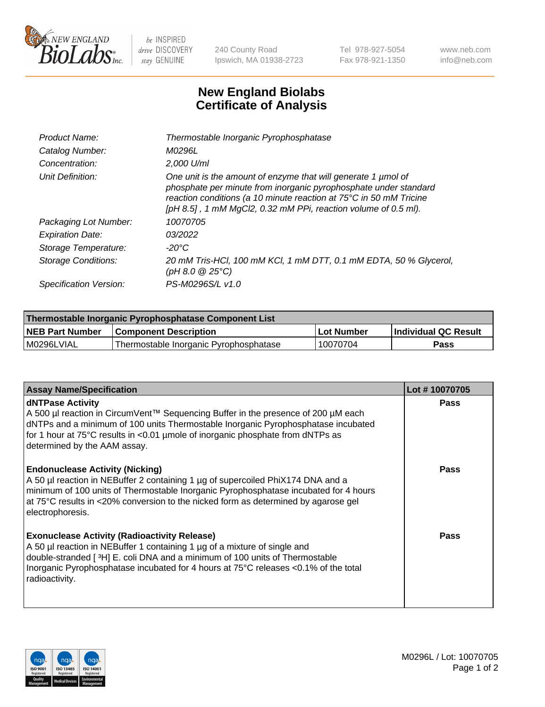

 $be$  INSPIRED drive DISCOVERY stay GENUINE

240 County Road Ipswich, MA 01938-2723 Tel 978-927-5054 Fax 978-921-1350 www.neb.com info@neb.com

## **New England Biolabs Certificate of Analysis**

| Product Name:              | Thermostable Inorganic Pyrophosphatase                                                                                                                                                                                                                                    |
|----------------------------|---------------------------------------------------------------------------------------------------------------------------------------------------------------------------------------------------------------------------------------------------------------------------|
| Catalog Number:            | <i>M0296L</i>                                                                                                                                                                                                                                                             |
| Concentration:             | $2.000$ U/ml                                                                                                                                                                                                                                                              |
| Unit Definition:           | One unit is the amount of enzyme that will generate 1 µmol of<br>phosphate per minute from inorganic pyrophosphate under standard<br>reaction conditions (a 10 minute reaction at 75°C in 50 mM Tricine<br>[pH 8.5], 1 mM MgCl2, 0.32 mM PPi, reaction volume of 0.5 ml). |
| Packaging Lot Number:      | 10070705                                                                                                                                                                                                                                                                  |
| <b>Expiration Date:</b>    | 03/2022                                                                                                                                                                                                                                                                   |
| Storage Temperature:       | $-20^{\circ}$ C                                                                                                                                                                                                                                                           |
| <b>Storage Conditions:</b> | 20 mM Tris-HCl, 100 mM KCl, 1 mM DTT, 0.1 mM EDTA, 50 % Glycerol,<br>(pH 8.0 $@25°C$ )                                                                                                                                                                                    |
| Specification Version:     | PS-M0296S/L v1.0                                                                                                                                                                                                                                                          |

| Thermostable Inorganic Pyrophosphatase Component List |                                        |              |                      |  |
|-------------------------------------------------------|----------------------------------------|--------------|----------------------|--|
| NEB Part Number                                       | <b>Component Description</b>           | l Lot Number | Individual QC Result |  |
| l M0296LVIAL                                          | Thermostable Inorganic Pyrophosphatase | 10070704     | Pass                 |  |

| <b>Assay Name/Specification</b>                                                                                                                                                                                                                                                                                             | Lot #10070705 |
|-----------------------------------------------------------------------------------------------------------------------------------------------------------------------------------------------------------------------------------------------------------------------------------------------------------------------------|---------------|
| <b>dNTPase Activity</b><br>A 500 µl reaction in CircumVent™ Sequencing Buffer in the presence of 200 µM each<br>dNTPs and a minimum of 100 units Thermostable Inorganic Pyrophosphatase incubated<br>for 1 hour at 75°C results in <0.01 µmole of inorganic phosphate from dNTPs as<br>determined by the AAM assay.         | <b>Pass</b>   |
| <b>Endonuclease Activity (Nicking)</b><br>A 50 µl reaction in NEBuffer 2 containing 1 µg of supercoiled PhiX174 DNA and a<br>minimum of 100 units of Thermostable Inorganic Pyrophosphatase incubated for 4 hours<br>at 75°C results in <20% conversion to the nicked form as determined by agarose gel<br>electrophoresis. | <b>Pass</b>   |
| <b>Exonuclease Activity (Radioactivity Release)</b><br>A 50 µl reaction in NEBuffer 1 containing 1 µg of a mixture of single and<br>double-stranded [3H] E. coli DNA and a minimum of 100 units of Thermostable<br>Inorganic Pyrophosphatase incubated for 4 hours at 75°C releases <0.1% of the total<br>radioactivity.    | <b>Pass</b>   |